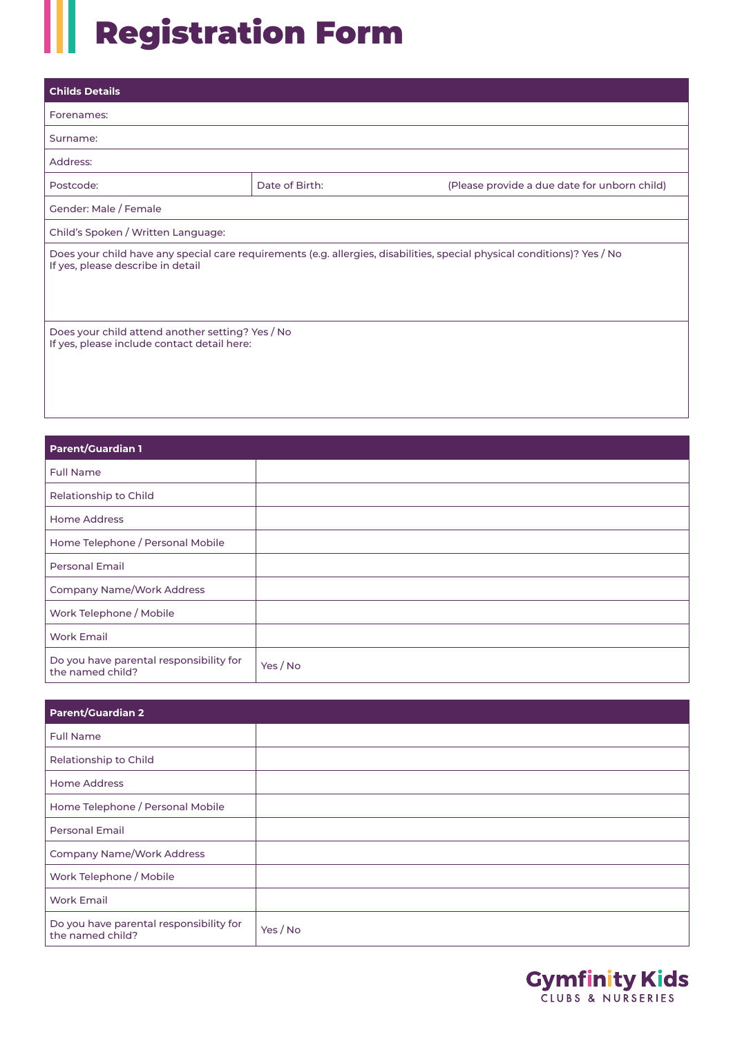## Registration Form

| <b>Childs Details</b>                                                                                                                                         |                |                                              |  |  |  |  |
|---------------------------------------------------------------------------------------------------------------------------------------------------------------|----------------|----------------------------------------------|--|--|--|--|
| Forenames:                                                                                                                                                    |                |                                              |  |  |  |  |
| Surname:                                                                                                                                                      |                |                                              |  |  |  |  |
| Address:                                                                                                                                                      |                |                                              |  |  |  |  |
| Postcode:                                                                                                                                                     | Date of Birth: | (Please provide a due date for unborn child) |  |  |  |  |
| Gender: Male / Female                                                                                                                                         |                |                                              |  |  |  |  |
| Child's Spoken / Written Language:                                                                                                                            |                |                                              |  |  |  |  |
| Does your child have any special care requirements (e.g. allergies, disabilities, special physical conditions)? Yes / No<br>If yes, please describe in detail |                |                                              |  |  |  |  |
| Does your child attend another setting? Yes / No<br>If yes, please include contact detail here:                                                               |                |                                              |  |  |  |  |

| <b>Parent/Guardian 1</b>                                    |          |  |  |  |
|-------------------------------------------------------------|----------|--|--|--|
| <b>Full Name</b>                                            |          |  |  |  |
| Relationship to Child                                       |          |  |  |  |
| <b>Home Address</b>                                         |          |  |  |  |
| Home Telephone / Personal Mobile                            |          |  |  |  |
| <b>Personal Email</b>                                       |          |  |  |  |
| Company Name/Work Address                                   |          |  |  |  |
| Work Telephone / Mobile                                     |          |  |  |  |
| <b>Work Email</b>                                           |          |  |  |  |
| Do you have parental responsibility for<br>the named child? | Yes / No |  |  |  |

| <b>Parent/Guardian 2</b>                                    |          |
|-------------------------------------------------------------|----------|
| <b>Full Name</b>                                            |          |
| Relationship to Child                                       |          |
| <b>Home Address</b>                                         |          |
| Home Telephone / Personal Mobile                            |          |
| <b>Personal Email</b>                                       |          |
| Company Name/Work Address                                   |          |
| Work Telephone / Mobile                                     |          |
| <b>Work Email</b>                                           |          |
| Do you have parental responsibility for<br>the named child? | Yes / No |